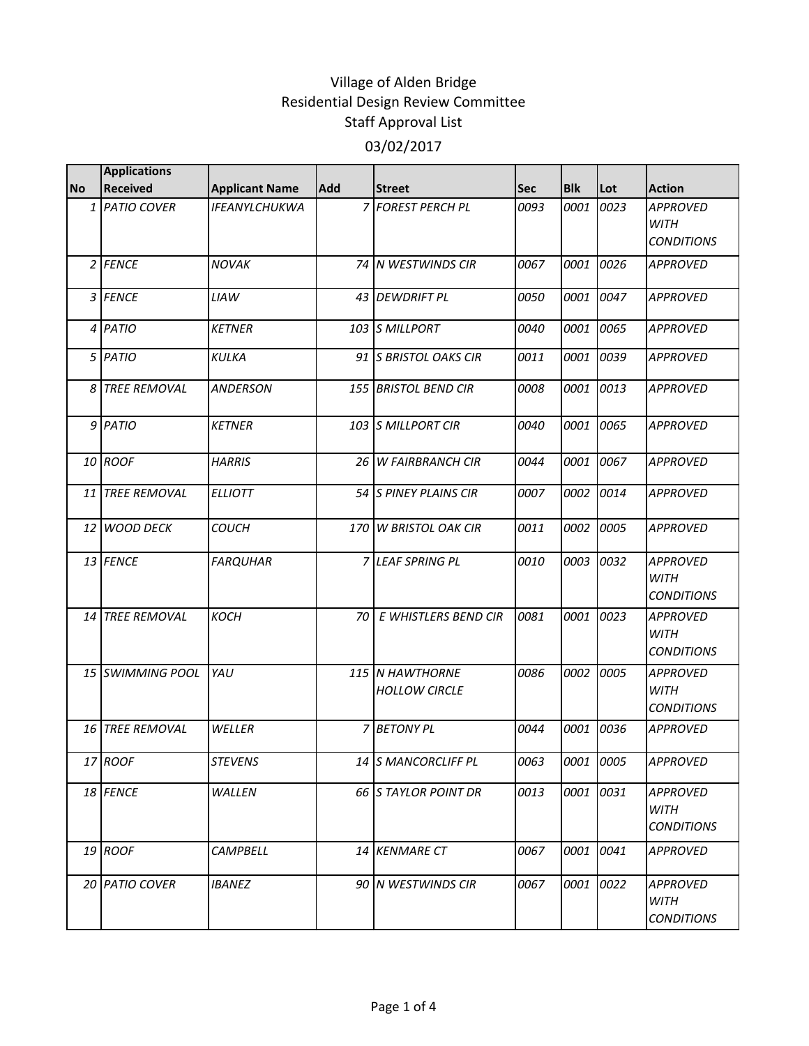|           | <b>Applications</b>     |                       |     |                                         |      |            |           |                                                     |
|-----------|-------------------------|-----------------------|-----|-----------------------------------------|------|------------|-----------|-----------------------------------------------------|
| <b>No</b> | <b>Received</b>         | <b>Applicant Name</b> | Add | <b>Street</b>                           | Sec  | <b>Blk</b> | Lot       | <b>Action</b>                                       |
|           | 1 PATIO COVER           | <b>IFEANYLCHUKWA</b>  |     | 7 FOREST PERCH PL                       | 0093 | 0001       | 0023      | <b>APPROVED</b><br>WITH<br><b>CONDITIONS</b>        |
|           | 2 FENCE                 | <b>NOVAK</b>          |     | 74 N WESTWINDS CIR                      | 0067 | 0001       | 0026      | <b>APPROVED</b>                                     |
|           | 3 FENCE                 | <b>LIAW</b>           |     | 43 DEWDRIFT PL                          | 0050 | 0001       | 0047      | <b>APPROVED</b>                                     |
|           | 4 PATIO                 | <b>KETNER</b>         |     | 103 S MILLPORT                          | 0040 | 0001       | 0065      | <b>APPROVED</b>                                     |
|           | 5 PATIO                 | <b>KULKA</b>          |     | 91 S BRISTOL OAKS CIR                   | 0011 | 0001       | 0039      | <b>APPROVED</b>                                     |
|           | 8 TREE REMOVAL          | <b>ANDERSON</b>       |     | 155 BRISTOL BEND CIR                    | 0008 | 0001       | 0013      | <b>APPROVED</b>                                     |
|           | 9 PATIO                 | <b>KETNER</b>         |     | 103 S MILLPORT CIR                      | 0040 | 0001       | 0065      | <b>APPROVED</b>                                     |
|           | 10 ROOF                 | <b>HARRIS</b>         |     | <b>26 W FAIRBRANCH CIR</b>              | 0044 | 0001       | 0067      | <b>APPROVED</b>                                     |
| 11        | <b>TREE REMOVAL</b>     | <b>ELLIOTT</b>        |     | 54 S PINEY PLAINS CIR                   | 0007 | 0002       | 0014      | <b>APPROVED</b>                                     |
|           | 12 WOOD DECK            | <b>COUCH</b>          |     | 170 W BRISTOL OAK CIR                   | 0011 | 0002       | 0005      | <b>APPROVED</b>                                     |
|           | 13 FENCE                | <b>FARQUHAR</b>       |     | 7 LEAF SPRING PL                        | 0010 | 0003       | 0032      | <b>APPROVED</b><br><b>WITH</b><br><b>CONDITIONS</b> |
|           | 14 TREE REMOVAL         | <b>KOCH</b>           | 70  | E WHISTLERS BEND CIR                    | 0081 | 0001       | 0023      | <b>APPROVED</b><br><b>WITH</b><br><b>CONDITIONS</b> |
|           | <b>15 SWIMMING POOL</b> | YAU                   |     | 115 N HAWTHORNE<br><b>HOLLOW CIRCLE</b> | 0086 | 0002       | 0005      | <b>APPROVED</b><br><b>WITH</b><br><b>CONDITIONS</b> |
|           | 16 TREE REMOVAL         | WELLER                |     | 7 BETONY PL                             | 0044 | 0001       | 0036      | <b>APPROVED</b>                                     |
|           | 17 ROOF                 | <b>STEVENS</b>        |     | 14 S MANCORCLIFF PL                     | 0063 |            | 0001 0005 | APPROVED                                            |
|           | 18 FENCE                | WALLEN                |     | 66 S TAYLOR POINT DR                    | 0013 |            | 0001 0031 | <b>APPROVED</b><br>WITH<br><b>CONDITIONS</b>        |
|           | 19 ROOF                 | <b>CAMPBELL</b>       |     | 14 KENMARE CT                           | 0067 | 0001       | 0041      | <b>APPROVED</b>                                     |
|           | 20 PATIO COVER          | <b>IBANEZ</b>         |     | 90 N WESTWINDS CIR                      | 0067 |            | 0001 0022 | <b>APPROVED</b><br>WITH<br><b>CONDITIONS</b>        |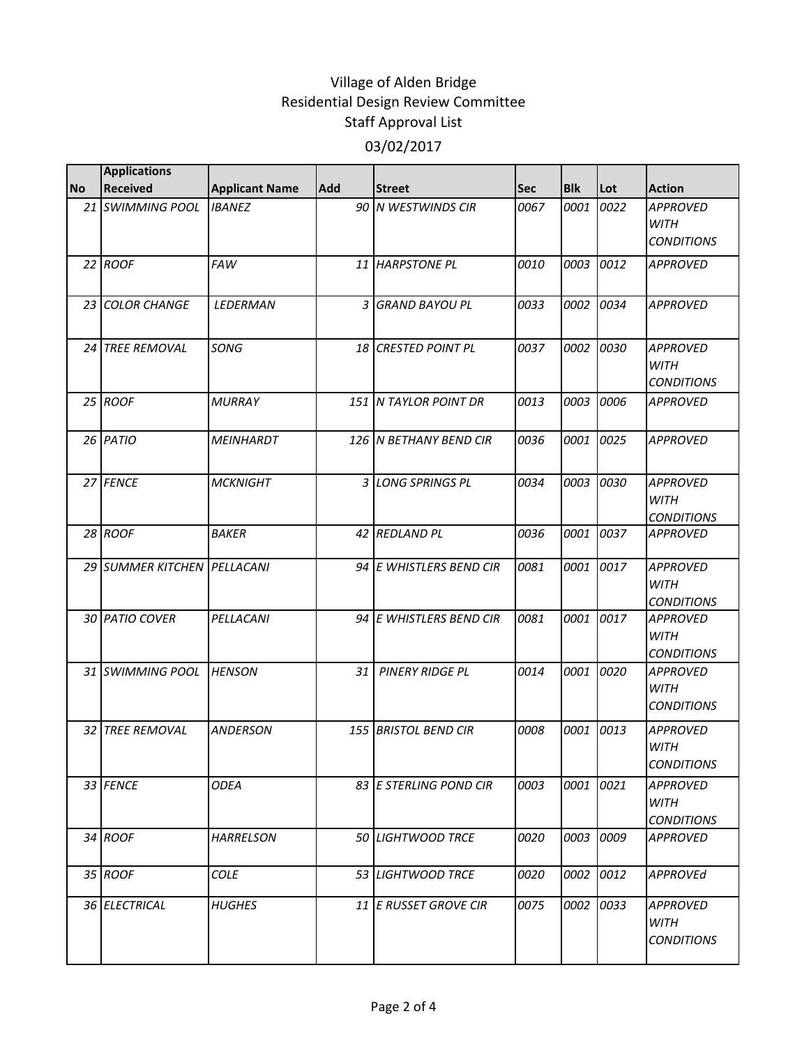|           | <b>Applications</b>         |                       |            |                         |      |            |           |                                                     |
|-----------|-----------------------------|-----------------------|------------|-------------------------|------|------------|-----------|-----------------------------------------------------|
| <b>No</b> | <b>Received</b>             | <b>Applicant Name</b> | <b>Add</b> | <b>Street</b>           | Sec  | <b>Blk</b> | Lot       | <b>Action</b>                                       |
|           | 21 SWIMMING POOL            | <b>IBANEZ</b>         |            | 90 N WESTWINDS CIR      | 0067 | 0001       | 0022      | <b>APPROVED</b><br><b>WITH</b><br><b>CONDITIONS</b> |
|           | $22$ ROOF                   | <b>FAW</b>            |            | 11 HARPSTONE PL         | 0010 | 0003       | 0012      | <b>APPROVED</b>                                     |
|           | 23 COLOR CHANGE             | LEDERMAN              |            | 3 GRAND BAYOU PL        | 0033 | 0002       | 0034      | <b>APPROVED</b>                                     |
|           | 24 TREE REMOVAL             | SONG                  |            | 18 CRESTED POINT PL     | 0037 | 0002 0030  |           | <b>APPROVED</b><br><b>WITH</b><br><b>CONDITIONS</b> |
|           | 25 ROOF                     | <b>MURRAY</b>         |            | 151 N TAYLOR POINT DR   | 0013 |            | 0003 0006 | <b>APPROVED</b>                                     |
|           | 26 PATIO                    | <b>MEINHARDT</b>      |            | 126 IN BETHANY BEND CIR | 0036 | 0001       | 0025      | <b>APPROVED</b>                                     |
|           | 27 FENCE                    | <b>MCKNIGHT</b>       |            | 3 LONG SPRINGS PL       | 0034 |            | 0003 0030 | <b>APPROVED</b><br><b>WITH</b><br><b>CONDITIONS</b> |
|           | 28 ROOF                     | <b>BAKER</b>          |            | 42 REDLAND PL           | 0036 | 0001       | 0037      | <b>APPROVED</b>                                     |
|           | 29 SUMMER KITCHEN PELLACANI |                       |            | 94 E WHISTLERS BEND CIR | 0081 | 0001       | 0017      | <b>APPROVED</b><br><b>WITH</b><br><b>CONDITIONS</b> |
|           | 30 PATIO COVER              | PELLACANI             |            | 94 E WHISTLERS BEND CIR | 0081 |            | 0001 0017 | <b>APPROVED</b><br><b>WITH</b><br><b>CONDITIONS</b> |
|           | 31 SWIMMING POOL            | <b>HENSON</b>         | 31         | <b>PINERY RIDGE PL</b>  | 0014 | 0001 0020  |           | <b>APPROVED</b><br><b>WITH</b><br><b>CONDITIONS</b> |
|           | 32 TREE REMOVAL             | <b>ANDERSON</b>       |            | 155 BRISTOL BEND CIR    | 0008 |            | 0001 0013 | <b>APPROVED</b><br><b>WITH</b><br><b>CONDITIONS</b> |
|           | 33 FENCE                    | <b>ODEA</b>           |            | 83 E STERLING POND CIR  | 0003 |            | 0001 0021 | <b>APPROVED</b><br><b>WITH</b><br><b>CONDITIONS</b> |
|           | 34 ROOF                     | <b>HARRELSON</b>      |            | 50 LIGHTWOOD TRCE       | 0020 |            | 0003 0009 | <b>APPROVED</b>                                     |
|           | 35 ROOF                     | <b>COLE</b>           |            | 53 LIGHTWOOD TRCE       | 0020 | 0002       | 0012      | <b>APPROVEd</b>                                     |
|           | 36 ELECTRICAL               | <b>HUGHES</b>         |            | 11 E RUSSET GROVE CIR   | 0075 |            | 0002 0033 | APPROVED<br><b>WITH</b><br><b>CONDITIONS</b>        |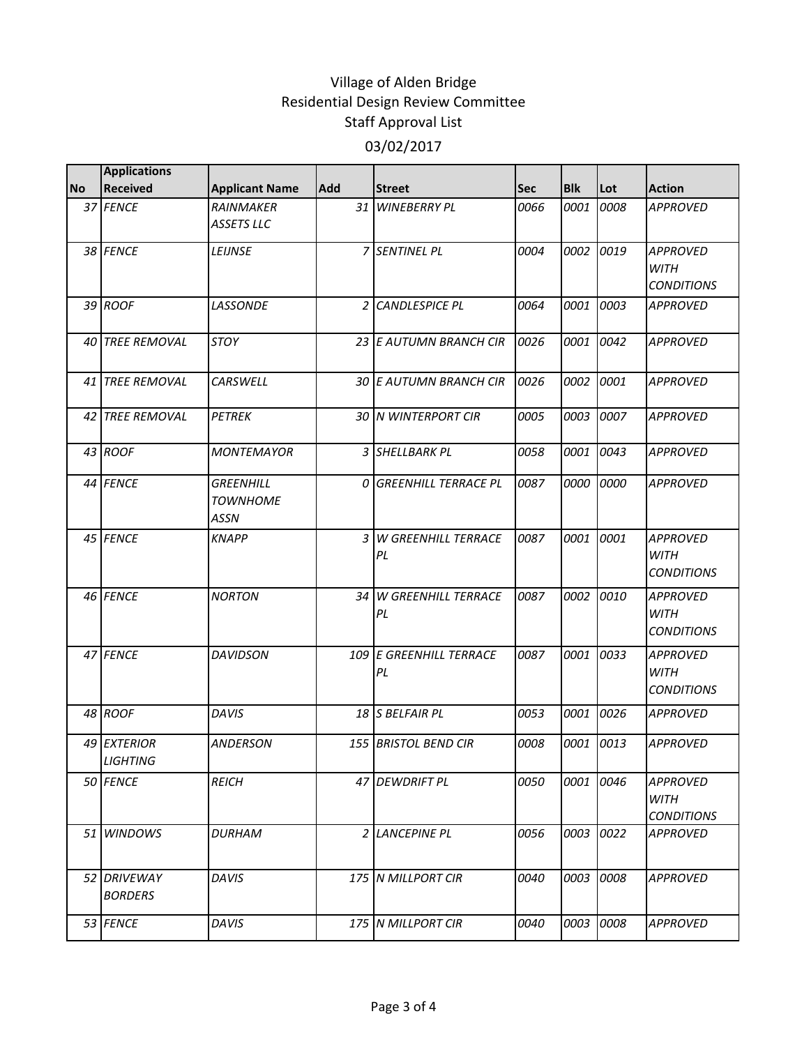|           | <b>Applications</b>           |                                                    |            |                                  |            |            |      |                                                     |
|-----------|-------------------------------|----------------------------------------------------|------------|----------------------------------|------------|------------|------|-----------------------------------------------------|
| <b>No</b> | <b>Received</b>               | <b>Applicant Name</b>                              | <b>Add</b> | <b>Street</b>                    | <b>Sec</b> | <b>Blk</b> | Lot  | <b>Action</b>                                       |
|           | 37 FENCE                      | <b>RAINMAKER</b><br><b>ASSETS LLC</b>              |            | 31 WINEBERRY PL                  | 0066       | 0001       | 0008 | <b>APPROVED</b>                                     |
|           | 38 FENCE                      | LEIJNSE                                            |            | 7 SENTINEL PL                    | 0004       | 0002       | 0019 | <b>APPROVED</b><br><b>WITH</b><br><b>CONDITIONS</b> |
|           | 39 ROOF                       | LASSONDE                                           | 2          | <b>CANDLESPICE PL</b>            | 0064       | 0001       | 0003 | <b>APPROVED</b>                                     |
|           | 40 TREE REMOVAL               | <b>STOY</b>                                        |            | 23 E AUTUMN BRANCH CIR           | 0026       | 0001       | 0042 | <b>APPROVED</b>                                     |
|           | 41 TREE REMOVAL               | CARSWELL                                           |            | 30 E AUTUMN BRANCH CIR           | 0026       | 0002       | 0001 | <b>APPROVED</b>                                     |
| 42 I      | <b>TREE REMOVAL</b>           | <b>PETREK</b>                                      |            | <b>30 N WINTERPORT CIR</b>       | 0005       | 0003       | 0007 | <b>APPROVED</b>                                     |
|           | 43 ROOF                       | <b>MONTEMAYOR</b>                                  |            | 3 SHELLBARK PL                   | 0058       | 0001       | 0043 | <b>APPROVED</b>                                     |
|           | 44 FENCE                      | <b>GREENHILL</b><br><b>TOWNHOME</b><br><b>ASSN</b> |            | <b>O GREENHILL TERRACE PL</b>    | 0087       | 0000       | 0000 | <b>APPROVED</b>                                     |
|           | 45 FENCE                      | <b>KNAPP</b>                                       | 3          | W GREENHILL TERRACE<br>PL        | 0087       | 0001       | 0001 | <b>APPROVED</b><br><b>WITH</b><br><b>CONDITIONS</b> |
|           | 46 FENCE                      | <b>NORTON</b>                                      | 34         | <b>W GREENHILL TERRACE</b><br>PL | 0087       | 0002       | 0010 | <b>APPROVED</b><br><b>WITH</b><br><b>CONDITIONS</b> |
|           | 47 FENCE                      | <b>DAVIDSON</b>                                    |            | 109 E GREENHILL TERRACE<br>PL    | 0087       | 0001       | 0033 | <b>APPROVED</b><br><b>WITH</b><br><b>CONDITIONS</b> |
|           | 48 ROOF                       | DAVIS                                              |            | 18 S BELFAIR PL                  | 0053       | 0001       | 0026 | <b>APPROVED</b>                                     |
|           | 49 EXTERIOR<br>LIGHTING       | <b>ANDERSON</b>                                    |            | <b>155 BRISTOL BEND CIR</b>      | 0008       | 0001       | 0013 | <b>APPROVED</b>                                     |
|           | 50 FENCE                      | <b>REICH</b>                                       |            | 47 DEWDRIFT PL                   | 0050       | 0001       | 0046 | <b>APPROVED</b><br>WITH<br><b>CONDITIONS</b>        |
|           | 51 WINDOWS                    | <b>DURHAM</b>                                      |            | 2 LANCEPINE PL                   | 0056       | 0003       | 0022 | <b>APPROVED</b>                                     |
|           | 52 DRIVEWAY<br><b>BORDERS</b> | DAVIS                                              |            | 175 N MILLPORT CIR               | 0040       | 0003       | 0008 | <b>APPROVED</b>                                     |
|           | 53 FENCE                      | <b>DAVIS</b>                                       |            | 175 N MILLPORT CIR               | 0040       | 0003       | 0008 | <b>APPROVED</b>                                     |